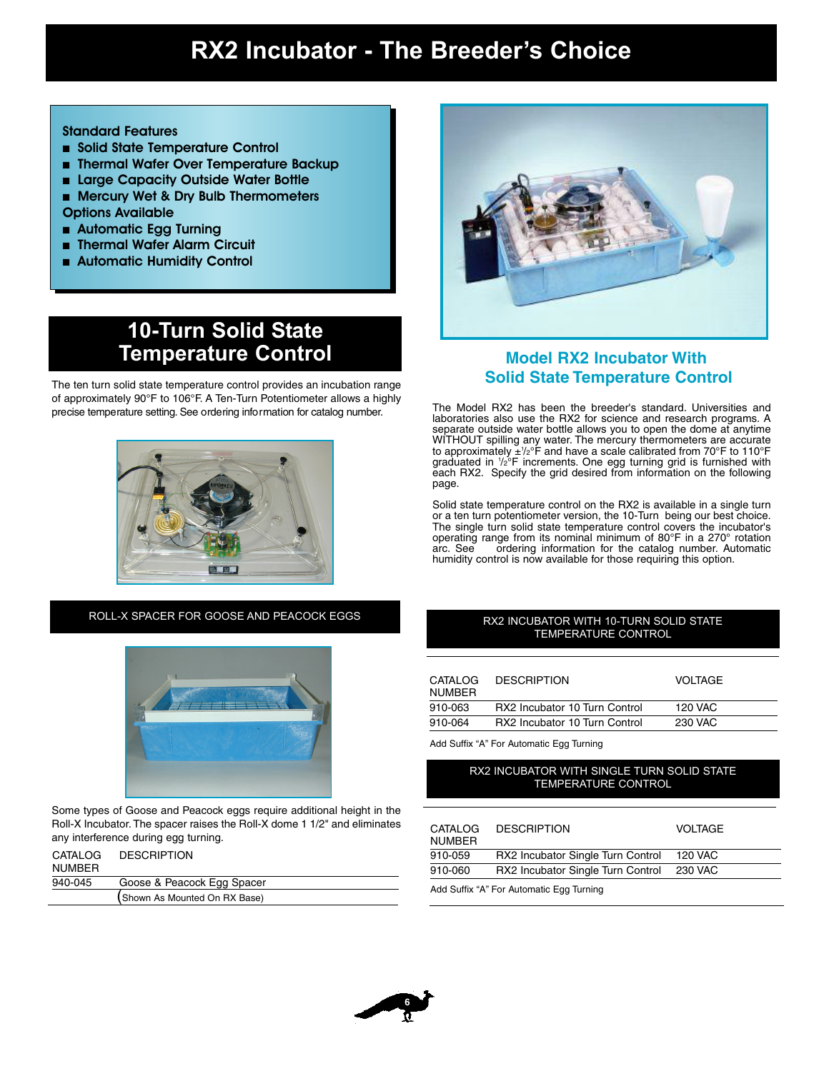## **RX2 Incubator - The Breeder's Choice**

### Standard Features

- Solid State Temperature Control
- Thermal Wafer Over Temperature Backup
- Large Capacity Outside Water Bottle ■ Mercury Wet & Dry Bulb Thermometers
- Options Available
- Automatic Egg Turning
- Thermal Wafer Alarm Circuit
- Automatic Humidity Control

### **10-Turn Solid State Temperature Control Model RX2 Incubator With**

The ten turn solid state temperature control provides an incubation range of approximately 90°F to 106°F. A Ten-Turn Potentiometer allows a highly



ROLL-X SPACER FOR GOOSE AND PEACOCK EGGS



Some types of Goose and Peacock eggs require additional height in the Roll-X Incubator. The spacer raises the Roll-X dome 1 1/2" and eliminates any interference during egg turning.

| CATALOG<br><b>NUMBER</b> | <b>DESCRIPTION</b>            |
|--------------------------|-------------------------------|
| 940-045                  | Goose & Peacock Egg Spacer    |
|                          | (Shown As Mounted On RX Base) |



# **Solid State Temperature Control**

ristic temperature setting. See ordering information for catalog number.<br>Iaboratories also use the RX2 for science and research programs. A separate outside water bottle allows you to open the dome at anytime WITHOUT spilling any water. The mercury thermometers are accurate to approximately ±1 /2°F and have a scale calibrated from 70°F to 110°F graduated in 1 /2°F increments. One egg turning grid is furnished with each RX2. Specify the grid desired from information on the following page.

> Solid state temperature control on the RX2 is available in a single turn or a ten turn potentiometer version, the 10-Turn being our best choice. The single turn solid state temperature control covers the incubator's operating range from its nominal minimum of 80°F in a 270° rotation arc. See cordering information for the catalog number. Automatic ordering information for the catalog number. Automatic humidity control is now available for those requiring this option.

#### RX2 INCUBATOR WITH 10-TURN SOLID STATE TEMPERATURE CONTROL

| CATALOG<br><b>NUMBER</b> | <b>DESCRIPTION</b>            | <b>VOLTAGE</b> |
|--------------------------|-------------------------------|----------------|
| 910-063                  | RX2 Incubator 10 Turn Control | 120 VAC        |
| 910-064                  | RX2 Incubator 10 Turn Control | 230 VAC        |

Add Suffix "A" For Automatic Egg Turning

#### RX2 INCUBATOR WITH SINGLE TURN SOLID STATE TEMPERATURE CONTROL

| CATALOG<br><b>NUMBER</b>                 | <b>DESCRIPTION</b>                | <b>VOLTAGE</b> |
|------------------------------------------|-----------------------------------|----------------|
| 910-059                                  | RX2 Incubator Single Turn Control | 120 VAC        |
| 910-060                                  | RX2 Incubator Single Turn Control | 230 VAC        |
| Add Suffix "A" For Automatic Egg Turning |                                   |                |